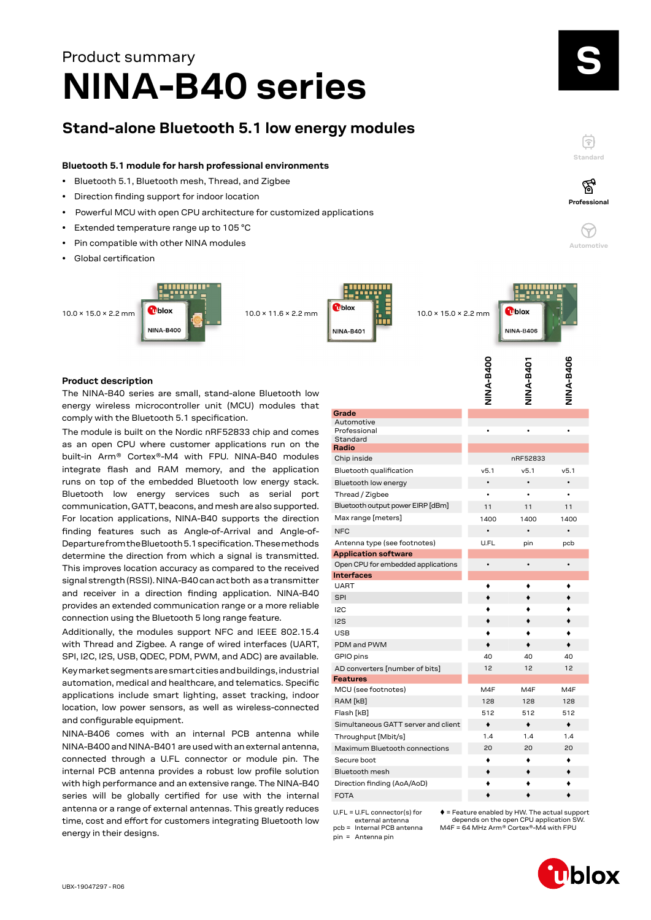## **NINA-B40 series** Product summary

### **Stand-alone Bluetooth 5.1 low energy modules**

#### **Bluetooth 5.1 module for harsh professional environments**

- Bluetooth 5.1, Bluetooth mesh, Thread, and Zigbee
- Direction finding support for indoor location
- Powerful MCU with open CPU architecture for customized applications
- Extended temperature range up to 105 °C
- Pin compatible with other NINA modules
- Global certification





mblox **NINA-B406** 

#### **Product description**

The NINA-B40 series are small, stand-alone Bluetooth low energy wireless microcontroller unit (MCU) modules that comply with the Bluetooth 5.1 specification.

The module is built on the Nordic nRF52833 chip and comes as an open CPU where customer applications run on the built-in Arm® Cortex®-M4 with FPU. NINA-B40 modules integrate flash and RAM memory, and the application runs on top of the embedded Bluetooth low energy stack. Bluetooth low energy services such as serial port communication, GATT, beacons, and mesh are also supported. For location applications, NINA-B40 supports the direction finding features such as Angle-of-Arrival and Angle-of-Departure from the Bluetooth 5.1 specification. These methods determine the direction from which a signal is transmitted. This improves location accuracy as compared to the received signal strength (RSSI). NINA-B40 can act both as a transmitter and receiver in a direction finding application. NINA-B40 provides an extended communication range or a more reliable connection using the Bluetooth 5 long range feature.

Additionally, the modules support NFC and IEEE 802.15.4 with Thread and Zigbee. A range of wired interfaces (UART, SPI, I2C, I2S, USB, QDEC, PDM, PWM, and ADC) are available. Key market segments are smart cities and buildings, industrial automation, medical and healthcare, and telematics. Specific applications include smart lighting, asset tracking, indoor location, low power sensors, as well as wireless-connected and configurable equipment.

NINA-B406 comes with an internal PCB antenna while NINA-B400 and NINA-B401 are used with an external antenna, connected through a U.FL connector or module pin. The internal PCB antenna provides a robust low profile solution with high performance and an extensive range. The NINA-B40 series will be globally certified for use with the internal antenna or a range of external antennas. This greatly reduces time, cost and effort for customers integrating Bluetooth low energy in their designs.

|                                     | NINA-B400 | <b>NINA-B401</b> | NINA-B406 |
|-------------------------------------|-----------|------------------|-----------|
|                                     |           |                  |           |
|                                     |           |                  |           |
| Grade                               |           |                  |           |
| Automotive<br>Professional          |           |                  |           |
| Standard                            |           |                  |           |
| Radio                               |           |                  |           |
| Chip inside                         |           | nRF52833         |           |
| Bluetooth qualification             | v5.1      | v5.1             | v5.1      |
| Bluetooth low energy                |           |                  |           |
| Thread / Zigbee                     |           | ٠                |           |
| Bluetooth output power EIRP [dBm]   | 11        | 11               | 11        |
| Max range [meters]                  | 1400      | 1400             | 1400      |
| <b>NFC</b>                          |           |                  |           |
| Antenna type (see footnotes)        | U.FL      | pin              | pcb       |
| <b>Application software</b>         |           |                  |           |
| Open CPU for embedded applications  |           | $\bullet$        | ٠         |
| <b>Interfaces</b>                   |           |                  |           |
| <b>UART</b>                         | ٠         |                  |           |
| <b>SPI</b>                          |           |                  |           |
| 12C                                 |           |                  |           |
| 12S                                 |           |                  |           |
| <b>USB</b>                          |           |                  |           |
| PDM and PWM                         |           |                  |           |
| GPIO pins                           | 40        | 40               | 40        |
| AD converters [number of bits]      | 12        | 12               | 12        |
| Features                            |           |                  |           |
| MCU (see footnotes)                 | M4F       | M4F              | M4F       |
| RAM [kB]                            | 128       | 128              | 128       |
| Flash [kB]                          | 512       | 512              | 512       |
| Simultaneous GATT server and client | ٠         | ٠                | ٠         |
| Throughput [Mbit/s]                 | 1.4       | 1.4              | 1.4       |
| Maximum Bluetooth connections       | 20        | 20               | 20        |
| Secure boot                         |           |                  |           |
| <b>Bluetooth mesh</b>               | ٠         |                  |           |
| Direction finding (AoA/AoD)         |           |                  |           |
| <b>FOTA</b>                         |           |                  |           |

 $UFL = UFL$  connector(s) for external antenna

pin = Antenna pin

pcb = Internal PCB antenna

 $\triangleq$  = Feature enabled by HW. The actual support depends on the open CPU application SW. M4F = 64 MHz Arm® Cortex®-M4 with FPU

S

**Standard**

F

**Professional**

′ିବୁ

**Automotive**

 $\approx$